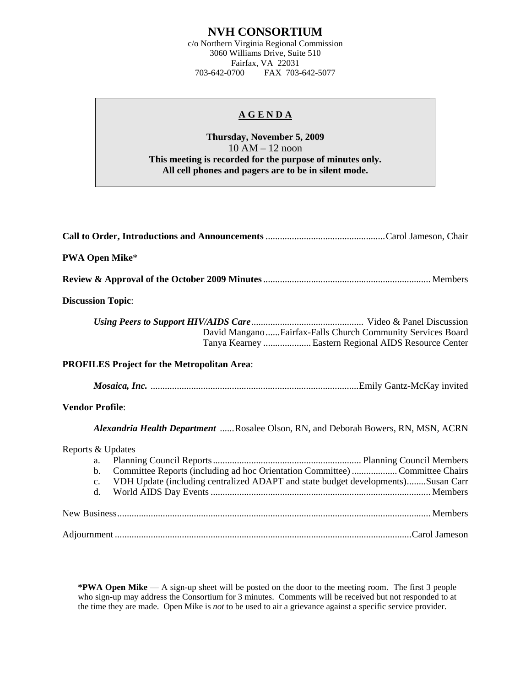# **NVH CONSORTIUM**

c/o Northern Virginia Regional Commission 3060 Williams Drive, Suite 510 Fairfax, VA 22031<br>703-642-0700 FAX 703-FAX 703-642-5077

### **A G E N D A**

## **Thursday, November 5, 2009**  10 AM – 12 noon **This meeting is recorded for the purpose of minutes only. All cell phones and pagers are to be in silent mode.**

| <b>PWA Open Mike*</b>                                                                                                                                                                                                                 |
|---------------------------------------------------------------------------------------------------------------------------------------------------------------------------------------------------------------------------------------|
|                                                                                                                                                                                                                                       |
| <b>Discussion Topic:</b>                                                                                                                                                                                                              |
| David ManganoFairfax-Falls Church Community Services Board<br>Tanya Kearney  Eastern Regional AIDS Resource Center                                                                                                                    |
| <b>PROFILES Project for the Metropolitan Area:</b>                                                                                                                                                                                    |
|                                                                                                                                                                                                                                       |
| <b>Vendor Profile:</b>                                                                                                                                                                                                                |
| Alexandria Health Department Rosalee Olson, RN, and Deborah Bowers, RN, MSN, ACRN                                                                                                                                                     |
| Reports & Updates<br>a.<br>Committee Reports (including ad hoc Orientation Committee)  Committee Chairs<br>$\mathbf{b}$ .<br>VDH Update (including centralized ADAPT and state budget developments)Susan Carr<br>$\mathbf{c}$ .<br>d. |
|                                                                                                                                                                                                                                       |
|                                                                                                                                                                                                                                       |

**\*PWA Open Mike** — A sign-up sheet will be posted on the door to the meeting room. The first 3 people who sign-up may address the Consortium for 3 minutes. Comments will be received but not responded to at the time they are made. Open Mike is *not* to be used to air a grievance against a specific service provider.